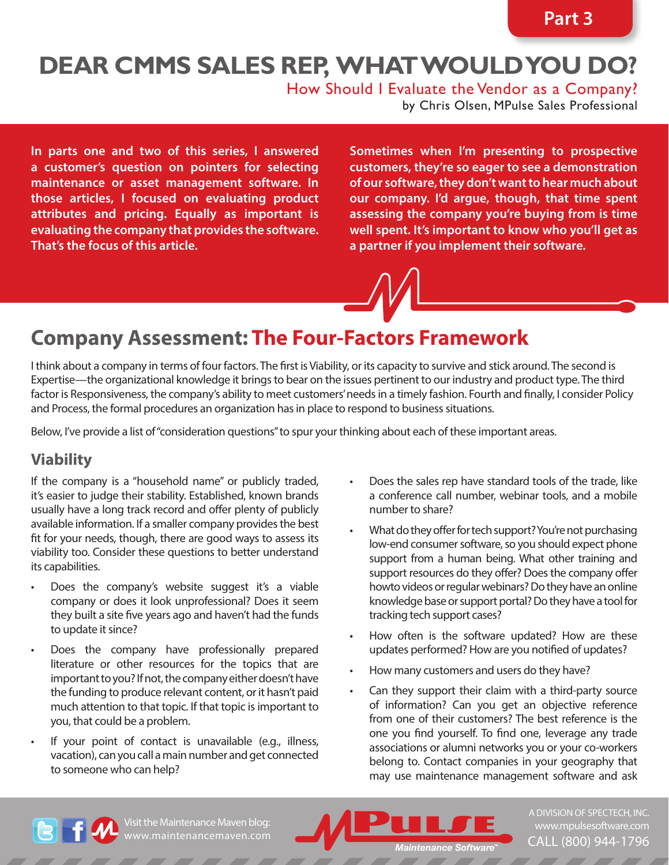# **Dear CMMS Sales Rep, What would you do?**

How Should I Evaluate the Vendor as a Company?

by Chris Olsen, MPulse Sales Professional

**In parts one and two of this series, I answered a customer's question on pointers for selecting maintenance or asset management software. In those articles, I focused on evaluating product attributes and pricing. Equally as important is evaluating the company that provides the software. That's the focus of this article.** 

**Sometimes when I'm presenting to prospective customers, they're so eager to see a demonstration of our software, they don't want to hear much about our company. I'd argue, though, that time spent assessing the company you're buying from is time well spent. It's important to know who you'll get as a partner if you implement their software.**

### **Company Assessment: The Four-Factors Framework**

I think about a company in terms of four factors. The first is Viability, or its capacity to survive and stick around. The second is Expertise—the organizational knowledge it brings to bear on the issues pertinent to our industry and product type. The third factor is Responsiveness, the company's ability to meet customers' needs in a timely fashion. Fourth and finally, I consider Policy and Process, the formal procedures an organization has in place to respond to business situations.

Below, I've provide a list of "consideration questions" to spur your thinking about each of these important areas.

#### **Viability**

If the company is a "household name" or publicly traded, it's easier to judge their stability. Established, known brands usually have a long track record and offer plenty of publicly available information. If a smaller company provides the best fit for your needs, though, there are good ways to assess its viability too. Consider these questions to better understand its capabilities.

- Does the company's website suggest it's a viable company or does it look unprofessional? Does it seem they built a site five years ago and haven't had the funds to update it since?
- Does the company have professionally prepared literature or other resources for the topics that are important to you? If not, the company either doesn't have the funding to produce relevant content, or it hasn't paid much attention to that topic. If that topic is important to you, that could be a problem.
- If your point of contact is unavailable (e.g., illness, vacation), can you call a main number and get connected to someone who can help?
- Does the sales rep have standard tools of the trade, like a conference call number, webinar tools, and a mobile number to share?
- What do they offer for tech support? You're not purchasing low-end consumer software, so you should expect phone support from a human being. What other training and support resources do they offer? Does the company offer howto videos or regular webinars? Do they have an online knowledge base or support portal? Do they have a tool for tracking tech support cases?
- How often is the software updated? How are these updates performed? How are you notified of updates?
- How many customers and users do they have?
- Can they support their claim with a third-party source of information? Can you get an objective reference from one of their customers? The best reference is the one you find yourself. To find one, leverage any trade associations or alumni networks you or your co-workers belong to. Contact companies in your geography that may use maintenance management software and ask



Visit the Maintenance Maven blog:



a division of SpecTech, Inc. [www.mpulsesoftware.com](http://www.mpulsesoftware.com) CALL (800) 944-1796